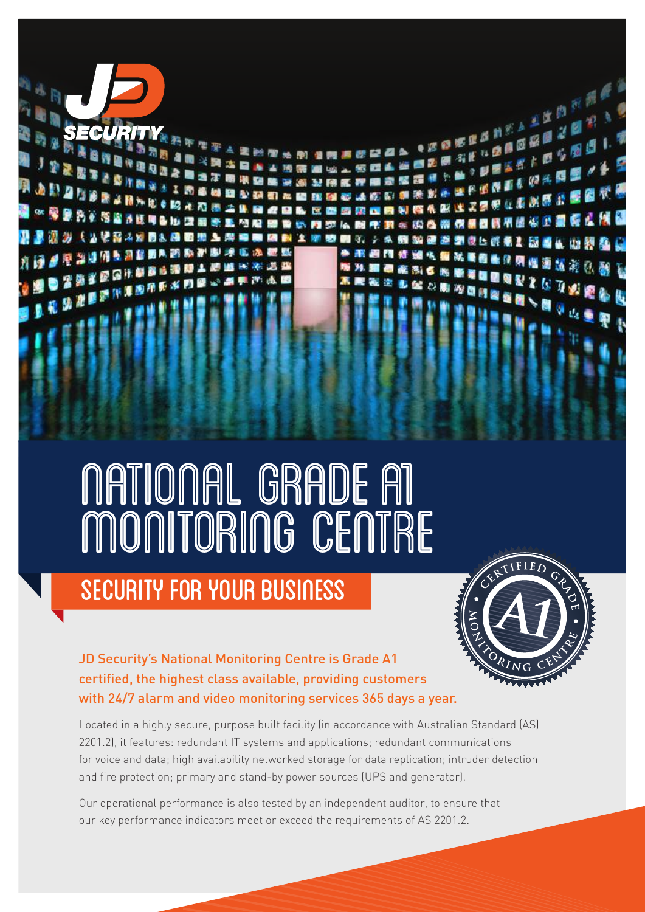

NATIONAL GRADE A1 MONITORING CENTRE

## Security for your Business



**FRANCASKA**  $\frac{m}{2}$   $\frac{m}{2}$ 

JD Security's National Monitoring Centre is Grade A1 certified, the highest class available, providing customers with 24/7 alarm and video monitoring services 365 days a year.

Located in a highly secure, purpose built facility (in accordance with Australian Standard (AS) 2201.2), it features: redundant IT systems and applications; redundant communications for voice and data; high availability networked storage for data replication; intruder detection and fire protection; primary and stand-by power sources (UPS and generator).

Our operational performance is also tested by an independent auditor, to ensure that our key performance indicators meet or exceed the requirements of AS 2201.2.